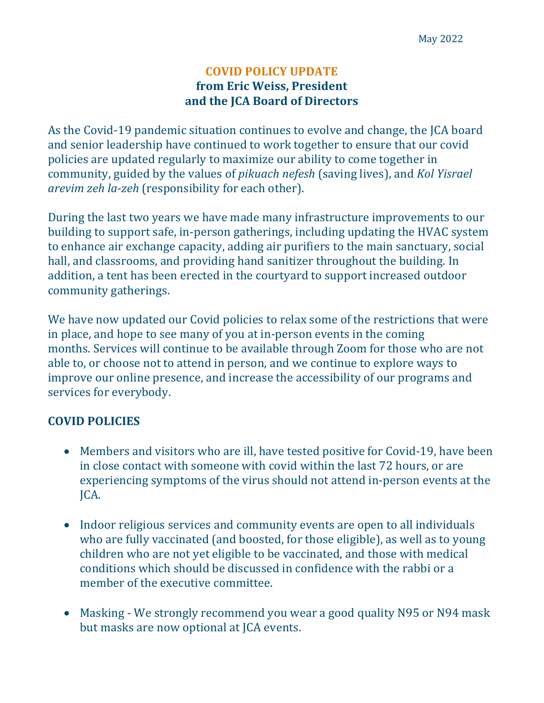## **COVID POLICY UPDATE from Eric Weiss, President** and the **JCA** Board of Directors

As the Covid-19 pandemic situation continues to evolve and change, the JCA board and senior leadership have continued to work together to ensure that our covid policies are updated regularly to maximize our ability to come together in community, guided by the values of *pikuach nefesh* (saving lives), and *Kol Yisrael arevim zeh la-zeh* (responsibility for each other).

During the last two years we have made many infrastructure improvements to our building to support safe, in-person gatherings, including updating the HVAC system to enhance air exchange capacity, adding air purifiers to the main sanctuary, social hall, and classrooms, and providing hand sanitizer throughout the building. In addition, a tent has been erected in the courtyard to support increased outdoor community gatherings.

We have now updated our Covid policies to relax some of the restrictions that were in place, and hope to see many of you at in-person events in the coming months. Services will continue to be available through Zoom for those who are not able to, or choose not to attend in person, and we continue to explore ways to improve our online presence, and increase the accessibility of our programs and services for everybody.

## **COVID POLICIES**

- Members and visitors who are ill, have tested positive for Covid-19, have been in close contact with someone with covid within the last 72 hours, or are experiencing symptoms of the virus should not attend in-person events at the JCA.
- Indoor religious services and community events are open to all individuals who are fully vaccinated (and boosted, for those eligible), as well as to young children who are not yet eligible to be vaccinated, and those with medical conditions which should be discussed in confidence with the rabbi or a member of the executive committee.
- Masking We strongly recommend you wear a good quality N95 or N94 mask but masks are now optional at JCA events.